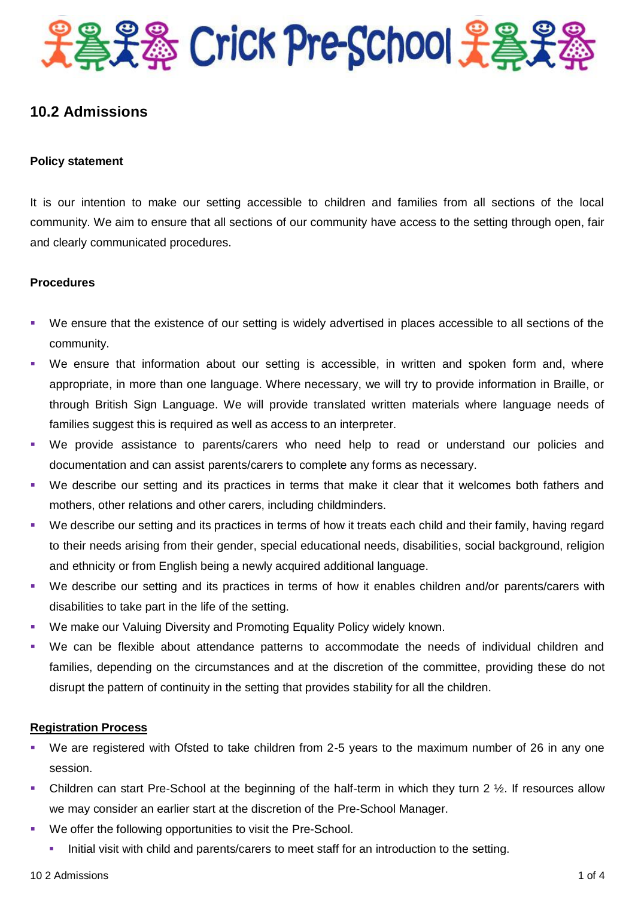

# **10.2 Admissions**

## **Policy statement**

It is our intention to make our setting accessible to children and families from all sections of the local community. We aim to ensure that all sections of our community have access to the setting through open, fair and clearly communicated procedures.

### **Procedures**

- We ensure that the existence of our setting is widely advertised in places accessible to all sections of the community.
- We ensure that information about our setting is accessible, in written and spoken form and, where appropriate, in more than one language. Where necessary, we will try to provide information in Braille, or through British Sign Language. We will provide translated written materials where language needs of families suggest this is required as well as access to an interpreter.
- We provide assistance to parents/carers who need help to read or understand our policies and documentation and can assist parents/carers to complete any forms as necessary.
- We describe our setting and its practices in terms that make it clear that it welcomes both fathers and mothers, other relations and other carers, including childminders.
- We describe our setting and its practices in terms of how it treats each child and their family, having regard to their needs arising from their gender, special educational needs, disabilities, social background, religion and ethnicity or from English being a newly acquired additional language.
- We describe our setting and its practices in terms of how it enables children and/or parents/carers with disabilities to take part in the life of the setting.
- We make our Valuing Diversity and Promoting Equality Policy widely known.
- We can be flexible about attendance patterns to accommodate the needs of individual children and families, depending on the circumstances and at the discretion of the committee, providing these do not disrupt the pattern of continuity in the setting that provides stability for all the children.

### **Registration Process**

- We are registered with Ofsted to take children from 2-5 years to the maximum number of 26 in any one session.
- Children can start Pre-School at the beginning of the half-term in which they turn 2  $\frac{1}{2}$ . If resources allow we may consider an earlier start at the discretion of the Pre-School Manager.
- We offer the following opportunities to visit the Pre-School.
	- Initial visit with child and parents/carers to meet staff for an introduction to the setting.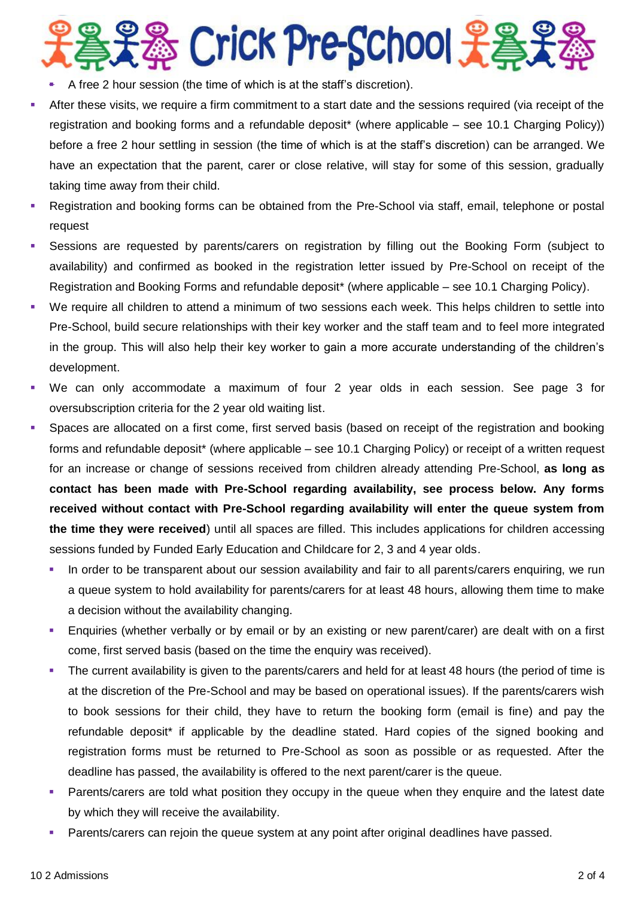

- A free 2 hour session (the time of which is at the staff's discretion).
- After these visits, we require a firm commitment to a start date and the sessions required (via receipt of the registration and booking forms and a refundable deposit\* (where applicable – see 10.1 Charging Policy)) before a free 2 hour settling in session (the time of which is at the staff's discretion) can be arranged. We have an expectation that the parent, carer or close relative, will stay for some of this session, gradually taking time away from their child.
- Registration and booking forms can be obtained from the Pre-School via staff, email, telephone or postal request
- Sessions are requested by parents/carers on registration by filling out the Booking Form (subject to availability) and confirmed as booked in the registration letter issued by Pre-School on receipt of the Registration and Booking Forms and refundable deposit\* (where applicable – see 10.1 Charging Policy).
- We require all children to attend a minimum of two sessions each week. This helps children to settle into Pre-School, build secure relationships with their key worker and the staff team and to feel more integrated in the group. This will also help their key worker to gain a more accurate understanding of the children's development.
- We can only accommodate a maximum of four 2 year olds in each session. See page 3 for oversubscription criteria for the 2 year old waiting list.
- Spaces are allocated on a first come, first served basis (based on receipt of the registration and booking forms and refundable deposit\* (where applicable – see 10.1 Charging Policy) or receipt of a written request for an increase or change of sessions received from children already attending Pre-School, **as long as contact has been made with Pre-School regarding availability, see process below. Any forms received without contact with Pre-School regarding availability will enter the queue system from the time they were received**) until all spaces are filled. This includes applications for children accessing sessions funded by Funded Early Education and Childcare for 2, 3 and 4 year olds.
	- In order to be transparent about our session availability and fair to all parents/carers enquiring, we run a queue system to hold availability for parents/carers for at least 48 hours, allowing them time to make a decision without the availability changing.
	- Enquiries (whether verbally or by email or by an existing or new parent/carer) are dealt with on a first come, first served basis (based on the time the enquiry was received).
	- The current availability is given to the parents/carers and held for at least 48 hours (the period of time is at the discretion of the Pre-School and may be based on operational issues). If the parents/carers wish to book sessions for their child, they have to return the booking form (email is fine) and pay the refundable deposit\* if applicable by the deadline stated. Hard copies of the signed booking and registration forms must be returned to Pre-School as soon as possible or as requested. After the deadline has passed, the availability is offered to the next parent/carer is the queue.
	- Parents/carers are told what position they occupy in the queue when they enquire and the latest date by which they will receive the availability.
	- Parents/carers can rejoin the queue system at any point after original deadlines have passed.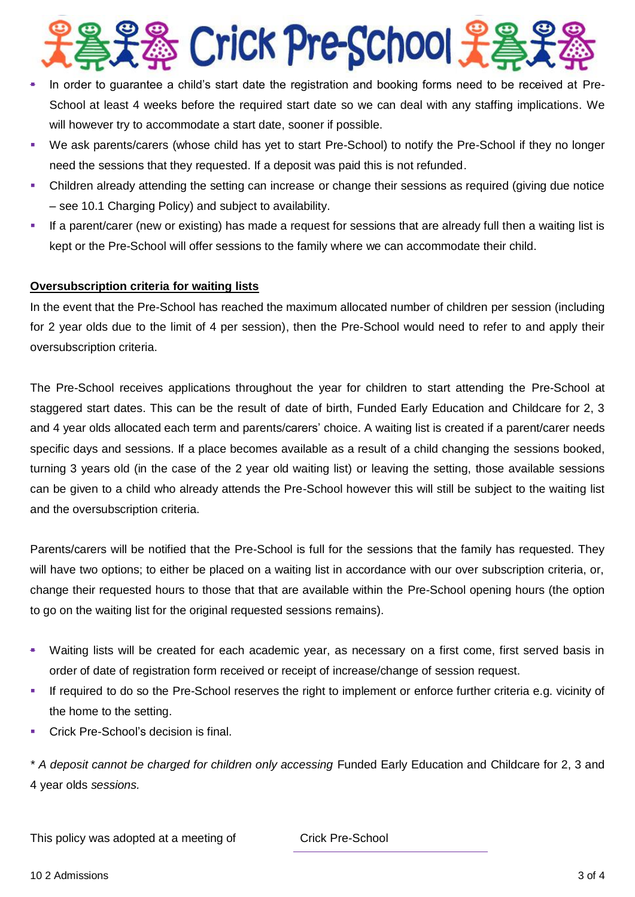

- In order to guarantee a child's start date the registration and booking forms need to be received at Pre-School at least 4 weeks before the required start date so we can deal with any staffing implications. We will however try to accommodate a start date, sooner if possible.
- We ask parents/carers (whose child has yet to start Pre-School) to notify the Pre-School if they no longer need the sessions that they requested. If a deposit was paid this is not refunded.
- Children already attending the setting can increase or change their sessions as required (giving due notice – see 10.1 Charging Policy) and subject to availability.
- If a parent/carer (new or existing) has made a request for sessions that are already full then a waiting list is kept or the Pre-School will offer sessions to the family where we can accommodate their child.

## **Oversubscription criteria for waiting lists**

In the event that the Pre-School has reached the maximum allocated number of children per session (including for 2 year olds due to the limit of 4 per session), then the Pre-School would need to refer to and apply their oversubscription criteria.

The Pre-School receives applications throughout the year for children to start attending the Pre-School at staggered start dates. This can be the result of date of birth, Funded Early Education and Childcare for 2, 3 and 4 year olds allocated each term and parents/carers' choice. A waiting list is created if a parent/carer needs specific days and sessions. If a place becomes available as a result of a child changing the sessions booked, turning 3 years old (in the case of the 2 year old waiting list) or leaving the setting, those available sessions can be given to a child who already attends the Pre-School however this will still be subject to the waiting list and the oversubscription criteria.

Parents/carers will be notified that the Pre-School is full for the sessions that the family has requested. They will have two options; to either be placed on a waiting list in accordance with our over subscription criteria, or, change their requested hours to those that that are available within the Pre-School opening hours (the option to go on the waiting list for the original requested sessions remains).

- Waiting lists will be created for each academic year, as necessary on a first come, first served basis in order of date of registration form received or receipt of increase/change of session request.
- If required to do so the Pre-School reserves the right to implement or enforce further criteria e.g. vicinity of the home to the setting.
- Crick Pre-School's decision is final.

*\* A deposit cannot be charged for children only accessing* Funded Early Education and Childcare for 2, 3 and 4 year olds *sessions.*